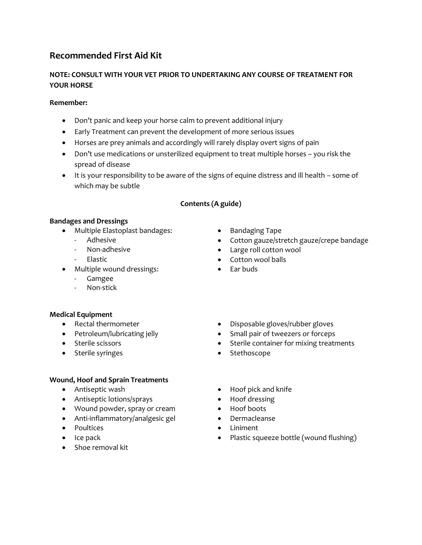# **Recommended First Aid Kit**

# **NOTE: CONSULT WITH YOUR VET PRIOR TO UNDERTAKING ANY COURSE OF TREATMENT FOR YOUR HORSE**

#### **Remember:**

- Don't panic and keep your horse calm to prevent additional injury
- Early Treatment can prevent the development of more serious issues
- Horses are prey animals and accordingly will rarely display overt signs of pain
- Don't use medications or unsterilized equipment to treat multiple horses you risk the spread of disease
- It is your responsibility to be aware of the signs of equine distress and ill health some of which may be subtle

### **Contents (A guide)**

### **Bandages and Dressings**

- Multiple Elastoplast bandages: • Bandaging Tape
	-
	- -
- Multiple wound dressings:  $\bullet$  Ear buds
	- Gamgee
	- Non-stick

# **Medical Equipment**

- Rectal thermometer **by a constant of the constant of the constant of the constant of the constant of the constant of the constant of the constant of the constant of the constant of the constant of the constant of the con**
- Petroleum/lubricating jelly **•** Small pair of tweezers or forceps
- Sterile scissors **Sterile container for mixing treatments**
- Sterile syringes **Stethoscope Stethoscope**

# **Wound, Hoof and Sprain Treatments**

- 
- Antiseptic lotions/sprays Hoof dressing
- Wound powder, spray or cream Hoof boots
- Anti-inflammatory/analgesic gel Dermacleanse
- Poultices **Contains the Contract Contains Contains Contains and Contains and Contains and Contains and Contains and Contains and Contains and Contains and Contains and Contains and Contains and Contains and Contains and**
- 
- Shoe removal kit
- 
- Adhesive **Cotton gauze/stretch gauze/crepe bandage**
- Non-adhesive **Constructed Constructed Constructed Constructed Constructed Constructed Constructed Constructed Constructed Construction wool**
- Elastic **Contract Elastic Contract Contract Contract Contract Contract Contract Contract Contract Contract Contract Contract Contract Contract Contract Contract Contract Contract Contract Contract Contract Contract Con** 
	-

- Antiseptic wash **Calcular Calcular Antiseptic wash Calcular Calcular Calcular Antiseptic Washington Calcular Antiseptic Memorial Antiseptic Memorial Antiseptic Memorial Antiseptic Memorial Antiseptic Memorial Antisep** 
	-
	-
	-
	-
- Ice pack **Ice pack Plastic squeeze bottle (wound flushing)**